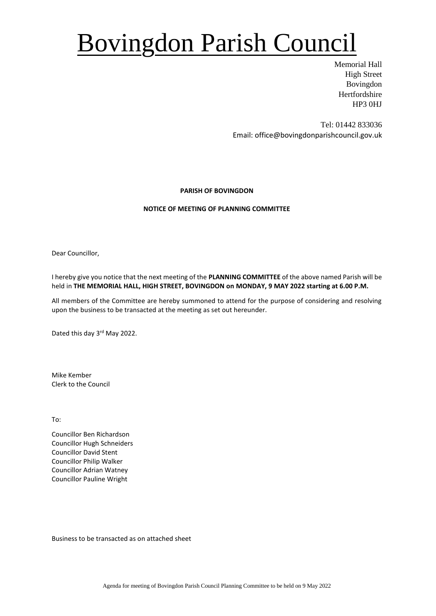# Bovingdon Parish Council

Memorial Hall High Street Bovingdon Hertfordshire HP3 0HJ

Tel: 01442 833036 Email: office@bovingdonparishcouncil.gov.uk

### **PARISH OF BOVINGDON**

### **NOTICE OF MEETING OF PLANNING COMMITTEE**

Dear Councillor,

I hereby give you notice that the next meeting of the **PLANNING COMMITTEE** of the above named Parish will be held in **THE MEMORIAL HALL, HIGH STREET, BOVINGDON on MONDAY, 9 MAY 2022 starting at 6.00 P.M.**

All members of the Committee are hereby summoned to attend for the purpose of considering and resolving upon the business to be transacted at the meeting as set out hereunder.

Dated this day 3<sup>rd</sup> May 2022.

Mike Kember Clerk to the Council

To:

Councillor Ben Richardson Councillor Hugh Schneiders Councillor David Stent Councillor Philip Walker Councillor Adrian Watney Councillor Pauline Wright

Business to be transacted as on attached sheet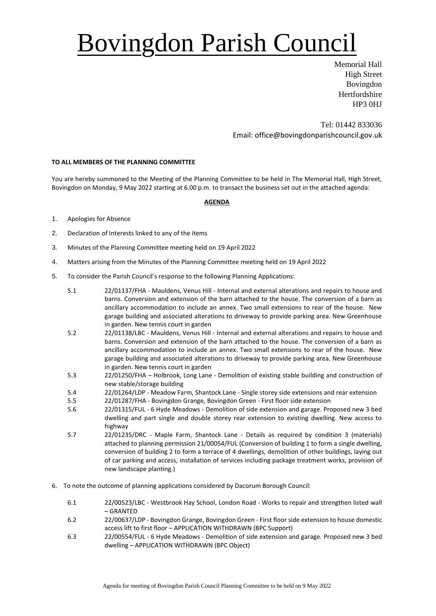# Bovingdon Parish Council

Memorial Hall High Street Bovingdon **Hertfordshire** HP3 0HJ

Tel: 01442 833036 Email: office@bovingdonparishcouncil.gov.uk

### **TO ALL MEMBERS OF THE PLANNING COMMITTEE**

You are hereby summoned to the Meeting of the Planning Committee to be held in The Memorial Hall, High Street, Bovingdon on Monday, 9 May 2022 starting at 6.00 p.m. to transact the business set out in the attached agenda:

### **AGENDA**

- 1. Apologies for Absence
- 2. Declaration of Interests linked to any of the items
- 3. Minutes of the Planning Committee meeting held on 19 April 2022
- 4. Matters arising from the Minutes of the Planning Committee meeting held on 19 April 2022
- 5. To consider the Parish Council's response to the following Planning Applications:
	- 5.1 22/01137/FHA Mauldens, Venus Hill Internal and external alterations and repairs to house and barns. Conversion and extension of the barn attached to the house. The conversion of a barn as ancillary accommodation to include an annex. Two small extensions to rear of the house. New garage building and associated alterations to driveway to provide parking area. New Greenhouse in garden. New tennis court in garden
	- 5.2 22/01138/LBC Mauldens, Venus Hill Internal and external alterations and repairs to house and barns. Conversion and extension of the barn attached to the house. The conversion of a barn as ancillary accommodation to include an annex. Two small extensions to rear of the house. New garage building and associated alterations to driveway to provide parking area. New Greenhouse in garden. New tennis court in garden
	- 5.3 22/01250/FHA Holbrook, Long Lane Demolition of existing stable building and construction of new stable/storage building
	- 5.4 22/01264/LDP Meadow Farm, Shantock Lane Single storey side extensions and rear extension
	- 5.5 22/01287/FHA Bovingdon Grange, Bovingdon Green First floor side extension
	- 5.6 22/01315/FUL 6 Hyde Meadows Demolition of side extension and garage. Proposed new 3 bed dwelling and part single and double storey rear extension to existing dwelling. New access to highway
	- 5.7 22/01235/DRC Maple Farm, Shantock Lane Details as required by condition 3 (materials) attached to planning permission 21/00054/FUL (Conversion of building 1 to form a single dwelling, conversion of building 2 to form a terrace of 4 dwellings, demolition of other buildings, laying out of car parking and access, installation of services including package treatment works, provision of new landscape planting.)
- 6. To note the outcome of planning applications considered by Dacorum Borough Council:
	- 6.1 22/00523/LBC Westbrook Hay School, London Road Works to repair and strengthen listed wall – GRANTED
	- 6.2 22/00637/LDP Bovingdon Grange, Bovingdon Green First floor side extension to house domestic access lift to first floor – APPLICATION WITHDRAWN (BPC Support)
	- 6.3 22/00554/FUL 6 Hyde Meadows Demolition of side extension and garage. Proposed new 3 bed dwelling – APPLICATION WITHDRAWN (BPC Object)